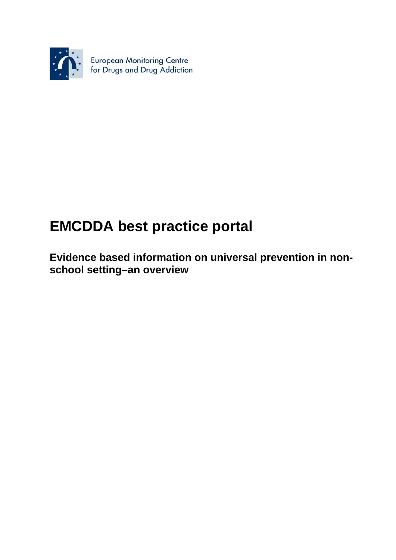

# **EMCDDA best practice portal**

**Evidence based information on universal prevention in nonschool setting–an overview**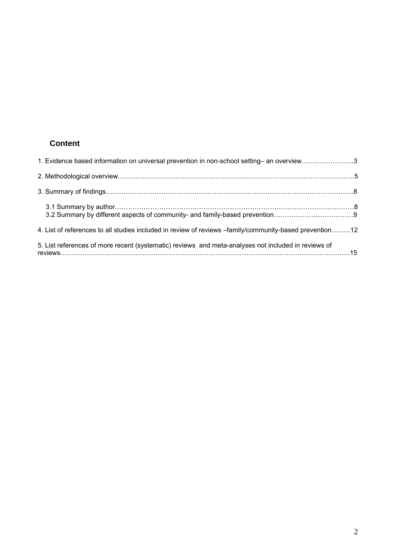# **Content**

| 1. Evidence based information on universal prevention in non-school setting- an overview3               |  |
|---------------------------------------------------------------------------------------------------------|--|
|                                                                                                         |  |
|                                                                                                         |  |
|                                                                                                         |  |
| 4. List of references to all studies included in review of reviews -family/community-based prevention12 |  |
| 5. List references of more recent (systematic) reviews and meta-analyses not included in reviews of     |  |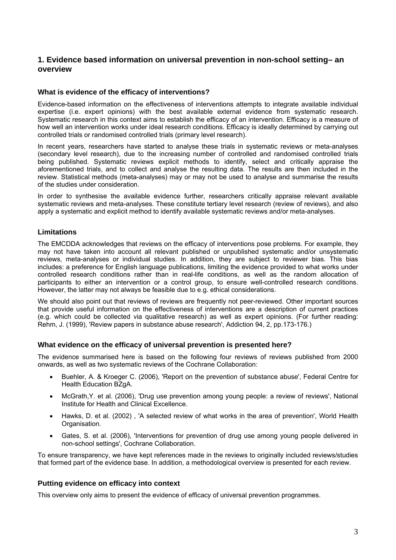# **1. Evidence based information on universal prevention in non-school setting– an overview**

# **What is evidence of the efficacy of interventions?**

Evidence-based information on the effectiveness of interventions attempts to integrate available individual expertise (i.e. expert opinions) with the best available external evidence from systematic research. Systematic research in this context aims to establish the efficacy of an intervention. Efficacy is a measure of how well an intervention works under ideal research conditions. Efficacy is ideally determined by carrying out controlled trials or randomised controlled trials (primary level research).

In recent years, researchers have started to analyse these trials in systematic reviews or meta-analyses (secondary level research), due to the increasing number of controlled and randomised controlled trials being published. Systematic reviews explicit methods to identify, select and critically appraise the aforementioned trials, and to collect and analyse the resulting data. The results are then included in the review. Statistical methods (meta-analyses) may or may not be used to analyse and summarise the results of the studies under consideration.

In order to synthesise the available evidence further, researchers critically appraise relevant available systematic reviews and meta-analyses. These constitute tertiary level research (review of reviews), and also apply a systematic and explicit method to identify available systematic reviews and/or meta-analyses.

# **Limitations**

The EMCDDA acknowledges that reviews on the efficacy of interventions pose problems. For example, they may not have taken into account all relevant published or unpublished systematic and/or unsystematic reviews, meta-analyses or individual studies. In addition, they are subject to reviewer bias. This bias includes: a preference for English language publications, limiting the evidence provided to what works under controlled research conditions rather than in real-life conditions, as well as the random allocation of participants to either an intervention or a control group, to ensure well-controlled research conditions. However, the latter may not always be feasible due to e.g. ethical considerations.

We should also point out that reviews of reviews are frequently not peer-reviewed. Other important sources that provide useful information on the effectiveness of interventions are a description of current practices (e.g. which could be collected via qualitative research) as well as expert opinions. (For further reading: Rehm, J. (1999), 'Review papers in substance abuse research', Addiction 94, 2, pp.173-176.)

### **What evidence on the efficacy of universal prevention is presented here?**

The evidence summarised here is based on the following four reviews of reviews published from 2000 onwards, as well as two systematic reviews of the Cochrane Collaboration:

- Buehler, A. & Kroeger C. (2006), 'Report on the prevention of substance abuse', Federal Centre for Health Education BZgA.
- McGrath,Y. et al. (2006), 'Drug use prevention among young people: a review of reviews', National Institute for Health and Clinical Excellence.
- Hawks, D. et al. (2002) , 'A selected review of what works in the area of prevention', World Health Organisation.
- Gates, S. et al. (2006), 'Interventions for prevention of drug use among young people delivered in non-school settings', Cochrane Collaboration.

To ensure transparency, we have kept references made in the reviews to originally included reviews/studies that formed part of the evidence base. In addition, a methodological overview is presented for each review.

### **Putting evidence on efficacy into context**

This overview only aims to present the evidence of efficacy of universal prevention programmes.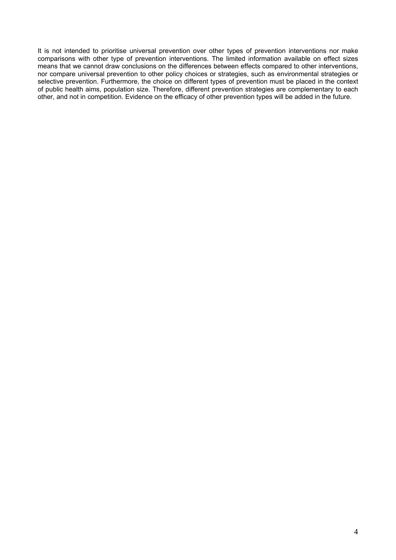It is not intended to prioritise universal prevention over other types of prevention interventions nor make comparisons with other type of prevention interventions. The limited information available on effect sizes means that we cannot draw conclusions on the differences between effects compared to other interventions, nor compare universal prevention to other policy choices or strategies, such as environmental strategies or selective prevention. Furthermore, the choice on different types of prevention must be placed in the context of public health aims, population size. Therefore, different prevention strategies are complementary to each other, and not in competition. Evidence on the efficacy of other prevention types will be added in the future.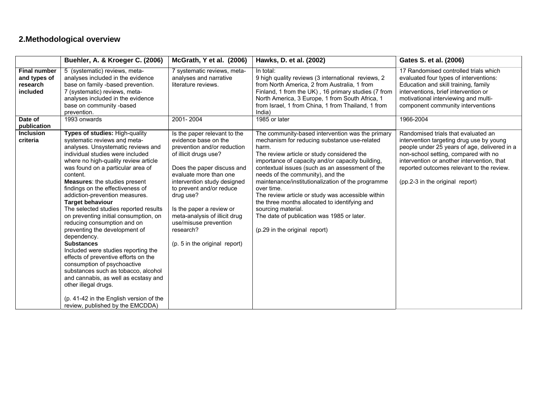# **2.Methodological overview**

|                                                             | Buehler, A. & Kroeger C. (2006)                                                                                                                                                                                                                                                                                                                                                                                                                                                                                                                                                                                                                                                                                                                                                                                                                                      | McGrath, Y et al. (2006)                                                                                                                                                                                                                                                                                                                                                         | Hawks, D. et al. (2002)                                                                                                                                                                                                                                                                                                                                                                                                                                                                                                                                                          | Gates S. et al. (2006)                                                                                                                                                                                                                                                                                |
|-------------------------------------------------------------|----------------------------------------------------------------------------------------------------------------------------------------------------------------------------------------------------------------------------------------------------------------------------------------------------------------------------------------------------------------------------------------------------------------------------------------------------------------------------------------------------------------------------------------------------------------------------------------------------------------------------------------------------------------------------------------------------------------------------------------------------------------------------------------------------------------------------------------------------------------------|----------------------------------------------------------------------------------------------------------------------------------------------------------------------------------------------------------------------------------------------------------------------------------------------------------------------------------------------------------------------------------|----------------------------------------------------------------------------------------------------------------------------------------------------------------------------------------------------------------------------------------------------------------------------------------------------------------------------------------------------------------------------------------------------------------------------------------------------------------------------------------------------------------------------------------------------------------------------------|-------------------------------------------------------------------------------------------------------------------------------------------------------------------------------------------------------------------------------------------------------------------------------------------------------|
| <b>Final number</b><br>and types of<br>research<br>included | 5 (systematic) reviews, meta-<br>analyses included in the evidence<br>base on family -based prevention.<br>7 (systematic) reviews, meta-<br>analyses included in the evidence<br>base on community -based<br>prevention.                                                                                                                                                                                                                                                                                                                                                                                                                                                                                                                                                                                                                                             | 7 systematic reviews, meta-<br>analyses and narrative<br>literature reviews.                                                                                                                                                                                                                                                                                                     | In total:<br>9 high quality reviews (3 international reviews, 2<br>from North America, 2 from Australia, 1 from<br>Finland, 1 from the UK), 16 primary studies (7 from<br>North America, 3 Europe, 1 from South Africa, 1<br>from Israel, 1 from China, 1 from Thailand, 1 from<br>India)                                                                                                                                                                                                                                                                                        | 17 Randomised controlled trials which<br>evaluated four types of interventions:<br>Education and skill training, family<br>interventions, brief intervention or<br>motivational interviewing and multi-<br>component community interventions                                                          |
| Date of<br>publication                                      | 1993 onwards                                                                                                                                                                                                                                                                                                                                                                                                                                                                                                                                                                                                                                                                                                                                                                                                                                                         | 2001-2004                                                                                                                                                                                                                                                                                                                                                                        | 1985 or later                                                                                                                                                                                                                                                                                                                                                                                                                                                                                                                                                                    | 1966-2004                                                                                                                                                                                                                                                                                             |
| <b>Inclusion</b><br>criteria                                | Types of studies: High-quality<br>systematic reviews and meta-<br>analyses. Unsystematic reviews and<br>individual studies were included<br>where no high-quality review article<br>was found on a particular area of<br>content.<br><b>Measures:</b> the studies present<br>findings on the effectiveness of<br>addiction-prevention measures.<br><b>Target behaviour</b><br>The selected studies reported results<br>on preventing initial consumption, on<br>reducing consumption and on<br>preventing the development of<br>dependency.<br><b>Substances</b><br>Included were studies reporting the<br>effects of preventive efforts on the<br>consumption of psychoactive<br>substances such as tobacco, alcohol<br>and cannabis, as well as ecstasy and<br>other illegal drugs.<br>(p. 41-42 in the English version of the<br>review, published by the EMCDDA) | Is the paper relevant to the<br>evidence base on the<br>prevention and/or reduction<br>of illicit drugs use?<br>Does the paper discuss and<br>evaluate more than one<br>intervention study designed<br>to prevent and/or reduce<br>drug use?<br>Is the paper a review or<br>meta-analysis of illicit drug<br>use/misuse prevention<br>research?<br>(p. 5 in the original report) | The community-based intervention was the primary<br>mechanism for reducing substance use-related<br>harm.<br>The review article or study considered the<br>importance of capacity and/or capacity building,<br>contextual issues (such as an assessment of the<br>needs of the community), and the<br>maintenance/institutionalization of the programme<br>over time.<br>The review article or study was accessible within<br>the three months allocated to identifying and<br>sourcing material.<br>The date of publication was 1985 or later.<br>(p.29 in the original report) | Randomised trials that evaluated an<br>intervention targeting drug use by young<br>people under 25 years of age, delivered in a<br>non-school setting, compared with no<br>intervention or another intervention, that<br>reported outcomes relevant to the review.<br>(pp.2-3 in the original report) |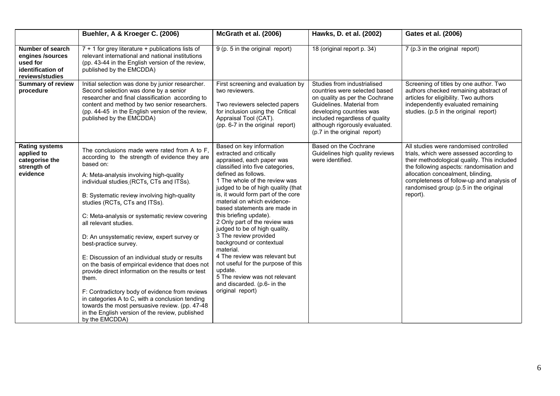|                                                                                          | Buehler, A & Kroeger C. (2006)                                                                                                                                                                                                                                                                                                                                                                                                                                                                                                                                                                                                                                                                                                                                                                                                          | McGrath et al. (2006)                                                                                                                                                                                                                                                                                                                                                                                                                                                                                                                                                                                                                                        | Hawks, D. et al. (2002)                                                                                                                                                                                                                                     | Gates et al. (2006)                                                                                                                                                                                                                                                                                                  |
|------------------------------------------------------------------------------------------|-----------------------------------------------------------------------------------------------------------------------------------------------------------------------------------------------------------------------------------------------------------------------------------------------------------------------------------------------------------------------------------------------------------------------------------------------------------------------------------------------------------------------------------------------------------------------------------------------------------------------------------------------------------------------------------------------------------------------------------------------------------------------------------------------------------------------------------------|--------------------------------------------------------------------------------------------------------------------------------------------------------------------------------------------------------------------------------------------------------------------------------------------------------------------------------------------------------------------------------------------------------------------------------------------------------------------------------------------------------------------------------------------------------------------------------------------------------------------------------------------------------------|-------------------------------------------------------------------------------------------------------------------------------------------------------------------------------------------------------------------------------------------------------------|----------------------------------------------------------------------------------------------------------------------------------------------------------------------------------------------------------------------------------------------------------------------------------------------------------------------|
| Number of search<br>engines /sources<br>used for<br>identification of<br>reviews/studies | 7 + 1 for grey literature + publications lists of<br>relevant international and national institutions<br>(pp. 43-44 in the English version of the review,<br>published by the EMCDDA)                                                                                                                                                                                                                                                                                                                                                                                                                                                                                                                                                                                                                                                   | 9 (p. 5 in the original report)                                                                                                                                                                                                                                                                                                                                                                                                                                                                                                                                                                                                                              | 18 (original report p. 34)                                                                                                                                                                                                                                  | 7 (p.3 in the original report)                                                                                                                                                                                                                                                                                       |
| <b>Summary of review</b><br>procedure                                                    | Initial selection was done by junior researcher.<br>Second selection was done by a senior<br>researcher and final classification according to<br>content and method by two senior researchers.<br>(pp. 44-45 in the English version of the review,<br>published by the EMCDDA)                                                                                                                                                                                                                                                                                                                                                                                                                                                                                                                                                          | First screening and evaluation by<br>two reviewers.<br>Two reviewers selected papers<br>for inclusion using the Critical<br>Appraisal Tool (CAT).<br>(pp. 6-7 in the original report)                                                                                                                                                                                                                                                                                                                                                                                                                                                                        | Studies from industrialised<br>countries were selected based<br>on quality as per the Cochrane<br>Guidelines. Material from<br>developing countries was<br>included regardless of quality<br>although rigorously evaluated.<br>(p.7 in the original report) | Screening of titles by one author. Two<br>authors checked remaining abstract of<br>articles for eligibility. Two authors<br>independently evaluated remaining<br>studies. (p.5 in the original report)                                                                                                               |
| <b>Rating systems</b><br>applied to<br>categorise the<br>strength of<br>evidence         | The conclusions made were rated from A to F,<br>according to the strength of evidence they are<br>based on:<br>A: Meta-analysis involving high-quality<br>individual studies (RCTs, CTs and ITSs).<br>B: Systematic review involving high-quality<br>studies (RCTs, CTs and ITSs).<br>C: Meta-analysis or systematic review covering<br>all relevant studies.<br>D: An unsystematic review, expert survey or<br>best-practice survey.<br>E: Discussion of an individual study or results<br>on the basis of empirical evidence that does not<br>provide direct information on the results or test<br>them.<br>F: Contradictory body of evidence from reviews<br>in categories A to C, with a conclusion tending<br>towards the most persuasive review. (pp. 47-48)<br>in the English version of the review, published<br>by the EMCDDA) | Based on key information<br>extracted and critically<br>appraised, each paper was<br>classified into five categories,<br>defined as follows.<br>1 The whole of the review was<br>judged to be of high quality (that<br>is, it would form part of the core<br>material on which evidence-<br>based statements are made in<br>this briefing update).<br>2 Only part of the review was<br>judged to be of high quality.<br>3 The review provided<br>background or contextual<br>material.<br>4 The review was relevant but<br>not useful for the purpose of this<br>update.<br>5 The review was not relevant<br>and discarded. (p.6- in the<br>original report) | Based on the Cochrane<br>Guidelines high quality reviews<br>were identified.                                                                                                                                                                                | All studies were randomised controlled<br>trials, which were assessed according to<br>their methodological quality. This included<br>the following aspects: randomisation and<br>allocation concealment, blinding,<br>completeness of follow-up and analysis of<br>randomised group (p.5 in the original<br>report). |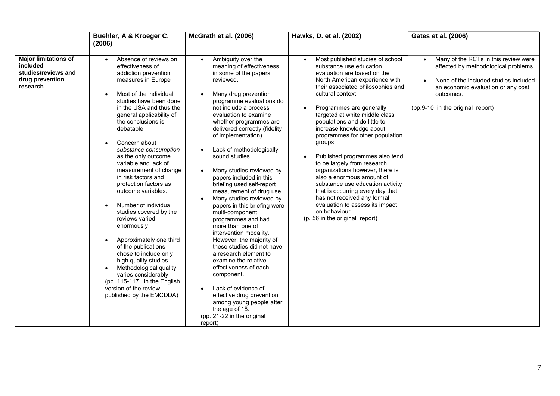|                                                                                               | Buehler, A & Kroeger C.<br>(2006)                                                                                                                                                                                                                                                                                                                                                                                                                                                                                                                                                                                                                                                                                                                                                  | McGrath et al. (2006)                                                                                                                                                                                                                                                                                                                                                                                                                                                                                                                                                                                                                                                                                                                                                                                                                                                                                                                                      | Hawks, D. et al. (2002)                                                                                                                                                                                                                                                                                                                                                                                                                                                                                                                                                                                                                                                                                 | Gates et al. (2006)                                                                                                                                                                                                       |
|-----------------------------------------------------------------------------------------------|------------------------------------------------------------------------------------------------------------------------------------------------------------------------------------------------------------------------------------------------------------------------------------------------------------------------------------------------------------------------------------------------------------------------------------------------------------------------------------------------------------------------------------------------------------------------------------------------------------------------------------------------------------------------------------------------------------------------------------------------------------------------------------|------------------------------------------------------------------------------------------------------------------------------------------------------------------------------------------------------------------------------------------------------------------------------------------------------------------------------------------------------------------------------------------------------------------------------------------------------------------------------------------------------------------------------------------------------------------------------------------------------------------------------------------------------------------------------------------------------------------------------------------------------------------------------------------------------------------------------------------------------------------------------------------------------------------------------------------------------------|---------------------------------------------------------------------------------------------------------------------------------------------------------------------------------------------------------------------------------------------------------------------------------------------------------------------------------------------------------------------------------------------------------------------------------------------------------------------------------------------------------------------------------------------------------------------------------------------------------------------------------------------------------------------------------------------------------|---------------------------------------------------------------------------------------------------------------------------------------------------------------------------------------------------------------------------|
| <b>Major limitations of</b><br>included<br>studies/reviews and<br>drug prevention<br>research | Absence of reviews on<br>$\bullet$<br>effectiveness of<br>addiction prevention<br>measures in Europe<br>Most of the individual<br>studies have been done<br>in the USA and thus the<br>general applicability of<br>the conclusions is<br>debatable<br>Concern about<br>substance consumption<br>as the only outcome<br>variable and lack of<br>measurement of change<br>in risk factors and<br>protection factors as<br>outcome variables.<br>Number of individual<br>studies covered by the<br>reviews varied<br>enormously<br>Approximately one third<br>of the publications<br>chose to include only<br>high quality studies<br>Methodological quality<br>$\bullet$<br>varies considerably<br>(pp. 115-117 in the English<br>version of the review,<br>published by the EMCDDA) | Ambiguity over the<br>$\bullet$<br>meaning of effectiveness<br>in some of the papers<br>reviewed.<br>Many drug prevention<br>$\bullet$<br>programme evaluations do<br>not include a process<br>evaluation to examine<br>whether programmes are<br>delivered correctly.(fidelity<br>of implementation)<br>Lack of methodologically<br>sound studies.<br>Many studies reviewed by<br>$\bullet$<br>papers included in this<br>briefing used self-report<br>measurement of drug use.<br>Many studies reviewed by<br>$\bullet$<br>papers in this briefing were<br>multi-component<br>programmes and had<br>more than one of<br>intervention modality.<br>However, the majority of<br>these studies did not have<br>a research element to<br>examine the relative<br>effectiveness of each<br>component.<br>Lack of evidence of<br>$\bullet$<br>effective drug prevention<br>among young people after<br>the age of 18.<br>(pp. 21-22 in the original<br>report) | Most published studies of school<br>$\bullet$<br>substance use education<br>evaluation are based on the<br>North American experience with<br>their associated philosophies and<br>cultural context<br>Programmes are generally<br>targeted at white middle class<br>populations and do little to<br>increase knowledge about<br>programmes for other population<br>groups<br>Published programmes also tend<br>to be largely from research<br>organizations however, there is<br>also a enormous amount of<br>substance use education activity<br>that is occurring every day that<br>has not received any formal<br>evaluation to assess its impact<br>on behaviour.<br>(p. 56 in the original report) | Many of the RCTs in this review were<br>$\bullet$<br>affected by methodological problems.<br>None of the included studies included<br>an economic evaluation or any cost<br>outcomes.<br>(pp.9-10 in the original report) |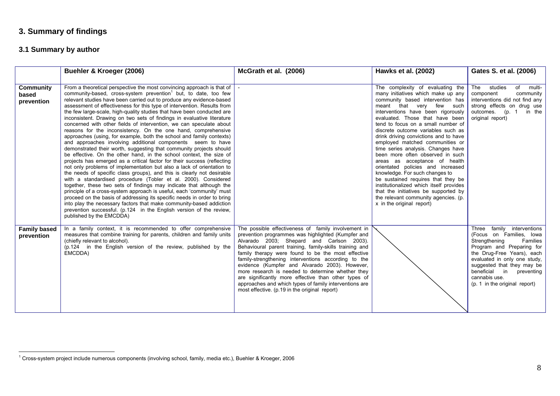# **3. Summary of findings**

# **3.1 Summary by author**

|                                         | Buehler & Kroeger (2006)                                                                                                                                                                                                                                                                                                                                                                                                                                                                                                                                                                                                                                                                                                                                                                                                                                                                                                                                                                                                                                                                                                                                                                                                                                                                                                                                                                                                                                                                                                                                                                         | McGrath et al. (2006)                                                                                                                                                                                                                                                                                                                                                                                                                                                                                                                                                                                    | Hawks et al. (2002)                                                                                                                                                                                                                                                                                                                                                                                                                                                                                                                                                                                                                                                                                                                                     | Gates S. et al. (2006)                                                                                                                                                                                                                                                                        |
|-----------------------------------------|--------------------------------------------------------------------------------------------------------------------------------------------------------------------------------------------------------------------------------------------------------------------------------------------------------------------------------------------------------------------------------------------------------------------------------------------------------------------------------------------------------------------------------------------------------------------------------------------------------------------------------------------------------------------------------------------------------------------------------------------------------------------------------------------------------------------------------------------------------------------------------------------------------------------------------------------------------------------------------------------------------------------------------------------------------------------------------------------------------------------------------------------------------------------------------------------------------------------------------------------------------------------------------------------------------------------------------------------------------------------------------------------------------------------------------------------------------------------------------------------------------------------------------------------------------------------------------------------------|----------------------------------------------------------------------------------------------------------------------------------------------------------------------------------------------------------------------------------------------------------------------------------------------------------------------------------------------------------------------------------------------------------------------------------------------------------------------------------------------------------------------------------------------------------------------------------------------------------|---------------------------------------------------------------------------------------------------------------------------------------------------------------------------------------------------------------------------------------------------------------------------------------------------------------------------------------------------------------------------------------------------------------------------------------------------------------------------------------------------------------------------------------------------------------------------------------------------------------------------------------------------------------------------------------------------------------------------------------------------------|-----------------------------------------------------------------------------------------------------------------------------------------------------------------------------------------------------------------------------------------------------------------------------------------------|
| <b>Community</b><br>based<br>prevention | From a theoretical perspective the most convincing approach is that of  <br>community-based, cross-system prevention <sup>1</sup> but, to date, too few<br>relevant studies have been carried out to produce any evidence-based<br>assessment of effectiveness for this type of intervention. Results from<br>the few large-scale, high-quality studies that have been conducted are<br>inconsistent. Drawing on two sets of findings in evaluative literature<br>concerned with other fields of intervention, we can speculate about<br>reasons for the inconsistency. On the one hand, comprehensive<br>approaches (using, for example, both the school and family contexts)<br>and approaches involving additional components seem to have<br>demonstrated their worth, suggesting that community projects should<br>be effective. On the other hand, in the school context, the size of<br>projects has emerged as a critical factor for their success (reflecting<br>not only problems of implementation but also a lack of orientation to<br>the needs of specific class groups), and this is clearly not desirable<br>with a standardised procedure (Tobler et al. 2000). Considered<br>together, these two sets of findings may indicate that although the<br>principle of a cross-system approach is useful, each 'community' must<br>proceed on the basis of addressing its specific needs in order to bring<br>into play the necessary factors that make community-based addiction<br>prevention successful. (p.124 in the English version of the review,<br>published by the EMCDDA) |                                                                                                                                                                                                                                                                                                                                                                                                                                                                                                                                                                                                          | The complexity of evaluating the<br>many initiatives which make up any<br>community based intervention has<br>meant that very few such<br>interventions have been rigorously<br>evaluated. Those that have been<br>tend to focus on a small number of<br>discrete outcome variables such as<br>drink driving convictions and to have<br>employed matched communities or<br>time series analysis. Changes have<br>been more often observed in such<br>areas as acceptance of health<br>orientated policies and increased<br>knowledge. For such changes to<br>be sustained requires that they be<br>institutionalized which itself provides<br>that the initiatives be supported by<br>the relevant community agencies. (p.<br>x in the original report) | The studies<br>of multi-<br>community<br>component<br>interventions did not find any<br>strong effects on drug use<br>outcomes. (p. 1 in the<br>original report)                                                                                                                              |
| <b>Family based</b><br>prevention       | In a family context, it is recommended to offer comprehensive<br>measures that combine training for parents, children and family units<br>(chiefly relevant to alcohol).<br>(p.124 in the English version of the review, published by the<br>EMCDDA)                                                                                                                                                                                                                                                                                                                                                                                                                                                                                                                                                                                                                                                                                                                                                                                                                                                                                                                                                                                                                                                                                                                                                                                                                                                                                                                                             | The possible effectiveness of family involvement in<br>prevention programmes was highlighted (Kumpfer and<br>Alvarado 2003; Shepard and Carlson 2003).<br>Behavioural parent training, family-skills training and<br>family therapy were found to be the most effective<br>family-strengthening interventions according to the<br>evidence (Kumpfer and Alvarado 2003). However,<br>more research is needed to determine whether they<br>are significantly more effective than other types of<br>approaches and which types of family interventions are<br>most effective. (p.19 in the original report) |                                                                                                                                                                                                                                                                                                                                                                                                                                                                                                                                                                                                                                                                                                                                                         | Three family interventions<br>(Focus on Families, Iowa<br>Strengthening<br>Families<br>Program and Preparing for<br>the Drug-Free Years), each<br>evaluated in only one study,<br>suggested that they may be<br>beneficial in<br>preventing<br>cannabis use.<br>(p. 1 in the original report) |

<sup>1</sup> Cross-system project include numerous components (involving school, family, media etc.), Buehler & Kroeger, 2006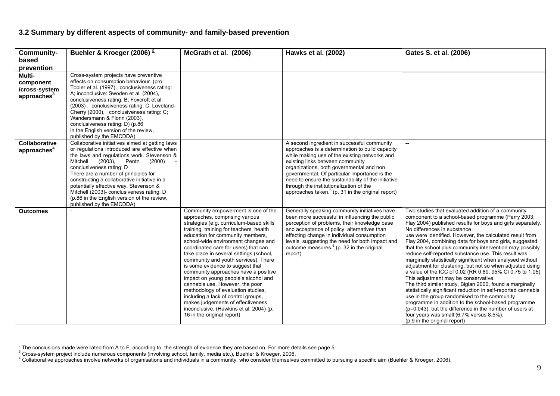# **3.2 Summary by different aspects of community- and family-based prevention**

| <b>Community-</b>                               | Buehler & Kroeger (2006) $\frac{2}{3}$                                                                                                                                                                                                                                                                                                                                                                                                                                           | McGrath et al. (2006)                                                                                                                                                                                                                                                                                                                                                                                                                                                                                                                                                                                                                                                                                                | Hawks et al. (2002)                                                                                                                                                                                                                                                                                                                                                                                                                        | Gates S. et al. (2006)                                                                                                                                                                                                                                                                                                                                                                                                                                                                                                                                                                                                                                                                                                                                                                                                                                                                                                                                                                                                                                       |
|-------------------------------------------------|----------------------------------------------------------------------------------------------------------------------------------------------------------------------------------------------------------------------------------------------------------------------------------------------------------------------------------------------------------------------------------------------------------------------------------------------------------------------------------|----------------------------------------------------------------------------------------------------------------------------------------------------------------------------------------------------------------------------------------------------------------------------------------------------------------------------------------------------------------------------------------------------------------------------------------------------------------------------------------------------------------------------------------------------------------------------------------------------------------------------------------------------------------------------------------------------------------------|--------------------------------------------------------------------------------------------------------------------------------------------------------------------------------------------------------------------------------------------------------------------------------------------------------------------------------------------------------------------------------------------------------------------------------------------|--------------------------------------------------------------------------------------------------------------------------------------------------------------------------------------------------------------------------------------------------------------------------------------------------------------------------------------------------------------------------------------------------------------------------------------------------------------------------------------------------------------------------------------------------------------------------------------------------------------------------------------------------------------------------------------------------------------------------------------------------------------------------------------------------------------------------------------------------------------------------------------------------------------------------------------------------------------------------------------------------------------------------------------------------------------|
| based                                           |                                                                                                                                                                                                                                                                                                                                                                                                                                                                                  |                                                                                                                                                                                                                                                                                                                                                                                                                                                                                                                                                                                                                                                                                                                      |                                                                                                                                                                                                                                                                                                                                                                                                                                            |                                                                                                                                                                                                                                                                                                                                                                                                                                                                                                                                                                                                                                                                                                                                                                                                                                                                                                                                                                                                                                                              |
| prevention<br>Multi-                            | Cross-system projects have preventive                                                                                                                                                                                                                                                                                                                                                                                                                                            |                                                                                                                                                                                                                                                                                                                                                                                                                                                                                                                                                                                                                                                                                                                      |                                                                                                                                                                                                                                                                                                                                                                                                                                            |                                                                                                                                                                                                                                                                                                                                                                                                                                                                                                                                                                                                                                                                                                                                                                                                                                                                                                                                                                                                                                                              |
| component<br>/cross-system<br>approaches $3$    | effects on consumption behaviour. (pro:<br>Tobler et al. (1997), conclusiveness rating:<br>A; inconclusive: Swoden et al. (2004),<br>conclusiveness rating: B; Foxcroft et al.<br>(2003), conclusiveness rating: C; Loveland-<br>Cherry (2000), conclusiveness rating: C;<br>Wandersmann & Florin (2003),<br>conclusiveness rating: D) (p.86<br>in the English version of the review,<br>published by the EMCDDA)                                                                |                                                                                                                                                                                                                                                                                                                                                                                                                                                                                                                                                                                                                                                                                                                      |                                                                                                                                                                                                                                                                                                                                                                                                                                            |                                                                                                                                                                                                                                                                                                                                                                                                                                                                                                                                                                                                                                                                                                                                                                                                                                                                                                                                                                                                                                                              |
| <b>Collaborative</b><br>approaches <sup>4</sup> | Collaborative initiatives aimed at getting laws<br>or regulations introduced are effective when<br>the laws and regulations work. Stevenson &<br>Mitchell<br>$(2003)$ ,<br>Pentz<br>(2000)<br>conclusiveness rating: D<br>There are a number of principles for<br>constructing a collaborative initiative in a<br>potentially effective way. Stevenson &<br>Mitchell (2003)- conclusiveness rating: D<br>(p.86 in the English version of the review,<br>published by the EMCDDA) |                                                                                                                                                                                                                                                                                                                                                                                                                                                                                                                                                                                                                                                                                                                      | A second ingredient in successful community<br>approaches is a determination to build capacity<br>while making use of the existing networks and<br>existing links between community<br>organizations, both governmental and non<br>governmental. Of particular importance is the<br>need to ensure the sustainability of the initiative<br>through the institutionalization of the<br>approaches taken. $5$ (p. 31 in the original report) | $\overline{\phantom{a}}$                                                                                                                                                                                                                                                                                                                                                                                                                                                                                                                                                                                                                                                                                                                                                                                                                                                                                                                                                                                                                                     |
| <b>Outcomes</b>                                 |                                                                                                                                                                                                                                                                                                                                                                                                                                                                                  | Community empowerment is one of the<br>approaches, comprising various<br>strategies (e.g. curriculum-based skills<br>training, training for teachers, health<br>education for community members,<br>school-wide environment changes and<br>coordinated care for users) that can<br>take place in several settings (school,<br>community and youth services). There<br>is some evidence to suggest that<br>community approaches have a positive<br>impact on young people's alcohol and<br>cannabis use. However, the poor<br>methodology of evaluation studies,<br>including a lack of control groups,<br>makes judgements of effectiveness<br>inconclusive. (Hawkins et al. 2004) (p.<br>16 in the original report) | Generally speaking community initiatives have<br>been more successful in influencing the public<br>perception of problems, their knowledge base<br>and acceptance of policy alternatives than<br>effecting change in individual consumption<br>levels, suggesting the need for both impact and<br>outcome measures. <sup>6</sup> (p. 32 in the original<br>report)                                                                         | Two studies that evaluated addition of a community<br>component to a school-based programme (Perry 2003;<br>Flay 2004) published results for boys and girls separately.<br>No differences in substance<br>use were identified. However, the calculated result from<br>Flay 2004, combining data for boys and girls, suggested<br>that the school plus community intervention may possibly<br>reduce self-reported substance use. This result was<br>marginally statistically significant when analysed without<br>adjustment for clustering, but not so when adjusted using<br>a value of the ICC of 0.02 (RR 0.89, 95% CI 0.75 to 1.05).<br>This adjustment may be conservative.<br>The third similar study, Biglan 2000, found a marginally<br>statistically significant reduction in self-reported cannabis<br>use in the group randomised to the community<br>programme in addition to the school-based programme<br>(p=0.043), but the difference in the number of users at<br>four years was small (6.7% versus 8.5%).<br>(p.9 in the original report) |

<sup>&</sup>lt;sup>2</sup> The conclusions made were rated from A to F, according to the strength of evidence they are based on. For more details see page 5.<br><sup>3</sup> Cross-system project include numerous components (involving school, family, media e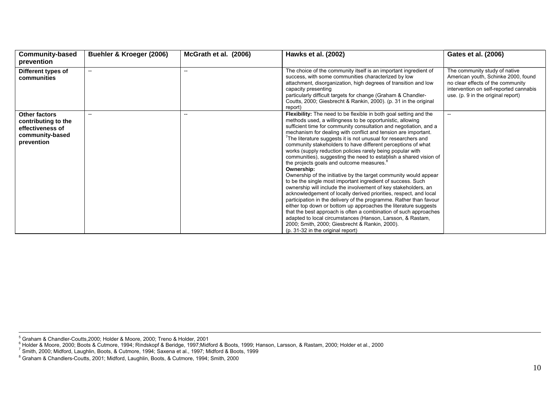| <b>Community-based</b><br>prevention                                                      | Buehler & Kroeger (2006) | McGrath et al. (2006) | Hawks et al. (2002)                                                                                                                                                                                                                                                                                                                                                                                                                                                                                                                                                                                                                                                                                                                                                                                                                                                                                                                                                                                                                                                                                                                                                                                                                                          | Gates et al. (2006)                                                                                                                                                                       |
|-------------------------------------------------------------------------------------------|--------------------------|-----------------------|--------------------------------------------------------------------------------------------------------------------------------------------------------------------------------------------------------------------------------------------------------------------------------------------------------------------------------------------------------------------------------------------------------------------------------------------------------------------------------------------------------------------------------------------------------------------------------------------------------------------------------------------------------------------------------------------------------------------------------------------------------------------------------------------------------------------------------------------------------------------------------------------------------------------------------------------------------------------------------------------------------------------------------------------------------------------------------------------------------------------------------------------------------------------------------------------------------------------------------------------------------------|-------------------------------------------------------------------------------------------------------------------------------------------------------------------------------------------|
| Different types of<br>communities                                                         | $\hspace{0.05cm} \ldots$ |                       | The choice of the community itself is an important ingredient of<br>success, with some communities characterized by low<br>attachment, disorganization, high degrees of transition and low<br>capacity presenting<br>particularly difficult targets for change (Graham & Chandler-<br>Coutts, 2000; Giesbrecht & Rankin, 2000). (p. 31 in the original<br>report)                                                                                                                                                                                                                                                                                                                                                                                                                                                                                                                                                                                                                                                                                                                                                                                                                                                                                            | The community study of native<br>American youth, Schinke 2000, found<br>no clear effects of the community<br>intervention on self-reported cannabis<br>use. (p. 9 in the original report) |
| Other factors<br>contributing to the<br>effectiveness of<br>community-based<br>prevention | $\overline{\phantom{a}}$ |                       | Flexibility: The need to be flexible in both goal setting and the<br>methods used, a willingness to be opportunistic, allowing<br>sufficient time for community consultation and negotiation, and a<br>mechanism for dealing with conflict and tension are important.<br>The literature suggests it is not unusual for researchers and<br>community stakeholders to have different perceptions of what<br>works (supply reduction policies rarely being popular with<br>communities), suggesting the need to establish a shared vision of<br>the projects goals and outcome measures. <sup>8</sup><br>Ownership:<br>Ownership of the initiative by the target community would appear<br>to be the single most important ingredient of success. Such<br>ownership will include the involvement of key stakeholders, an<br>acknowledgement of locally derived priorities, respect, and local<br>participation in the delivery of the programme. Rather than favour<br>either top down or bottom up approaches the literature suggests<br>that the best approach is often a combination of such approaches<br>adapted to local circumstances (Hanson, Larsson, & Rastam,<br>2000; Smith, 2000; Giesbrecht & Rankin, 2000).<br>(p. 31-32 in the original report) | $\overline{\phantom{a}}$                                                                                                                                                                  |

 $^5$  Graham & Chandler-Coutts.2000: Holder & Moore, 2000: Treno & Holder, 2001

6 Holder & Moore, 2000; Boots & Cutmore, 1994; Rindskopf & Beridge, 1997;Midford & Boots, 1999; Hanson, Larsson, & Rastam, 2000; Holder et al., 2000

7 Smith, 2000; Midford, Laughlin, Boots, & Cutmore, 1994; Saxena et al., 1997; Midford & Boots, 1999

8 Graham & Chandlers-Coutts, 2001; Midford, Laughlin, Boots, & Cutmore, 1994; Smith, 2000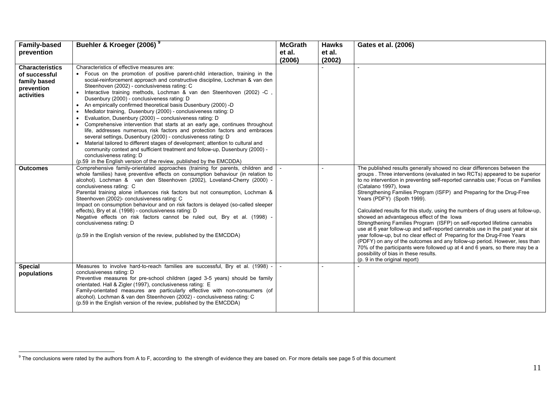| <b>Family-based</b>                     | Buehler & Kroeger (2006) <sup>9</sup>                                                                                         | <b>McGrath</b> | <b>Hawks</b> | Gates et al. (2006)                                                                                                                                        |
|-----------------------------------------|-------------------------------------------------------------------------------------------------------------------------------|----------------|--------------|------------------------------------------------------------------------------------------------------------------------------------------------------------|
| prevention                              |                                                                                                                               | et al.         | et al.       |                                                                                                                                                            |
|                                         |                                                                                                                               |                |              |                                                                                                                                                            |
|                                         | Characteristics of effective measures are:                                                                                    | (2006)         | (2002)       |                                                                                                                                                            |
| <b>Characteristics</b><br>of successful | • Focus on the promotion of positive parent-child interaction, training in the                                                |                |              |                                                                                                                                                            |
| family based                            | social-reinforcement approach and constructive discipline, Lochman & van den                                                  |                |              |                                                                                                                                                            |
| prevention                              | Steenhoven (2002) - conclusiveness rating: C                                                                                  |                |              |                                                                                                                                                            |
| activities                              | Interactive training methods, Lochman & van den Steenhoven (2002) -C,<br>$\bullet$                                            |                |              |                                                                                                                                                            |
|                                         | Dusenbury (2000) - conclusiveness rating: D                                                                                   |                |              |                                                                                                                                                            |
|                                         | An empirically confirmed theoretical basis Dusenbury (2000) -D                                                                |                |              |                                                                                                                                                            |
|                                         | Mediator training, Dusenbury (2000) - conclusiveness rating: D<br>Evaluation, Dusenbury (2000) - conclusiveness rating: D     |                |              |                                                                                                                                                            |
|                                         | Comprehensive intervention that starts at an early age, continues throughout                                                  |                |              |                                                                                                                                                            |
|                                         | life, addresses numerous risk factors and protection factors and embraces                                                     |                |              |                                                                                                                                                            |
|                                         | several settings, Dusenbury (2000) - conclusiveness rating: D                                                                 |                |              |                                                                                                                                                            |
|                                         | Material tailored to different stages of development; attention to cultural and                                               |                |              |                                                                                                                                                            |
|                                         | community context and sufficient treatment and follow-up, Dusenbury (2000) -                                                  |                |              |                                                                                                                                                            |
|                                         | conclusiveness rating: D<br>(p.59 in the English version of the review, published by the EMCDDA)                              |                |              |                                                                                                                                                            |
| <b>Outcomes</b>                         | Comprehensive family-orientated approaches (training for parents, children and                                                |                |              | The published results generally showed no clear differences between the                                                                                    |
|                                         | whole families) have preventive effects on consumption behaviour (in relation to                                              |                |              | groups. Three interventions (evaluated in two RCTs) appeared to be superior                                                                                |
|                                         | alcohol). Lochman & van den Steenhoven (2002), Loveland-Cherry (2000) -                                                       |                |              | to no intervention in preventing self-reported cannabis use; Focus on Families                                                                             |
|                                         | conclusiveness rating: C                                                                                                      |                |              | (Catalano 1997), Iowa                                                                                                                                      |
|                                         | Parental training alone influences risk factors but not consumption, Lochman &<br>Steenhoven (2002)- conclusiveness rating: C |                |              | Strengthening Families Program (ISFP) and Preparing for the Drug-Free<br>Years (PDFY) (Spoth 1999).                                                        |
|                                         | Impact on consumption behaviour and on risk factors is delayed (so-called sleeper                                             |                |              |                                                                                                                                                            |
|                                         | effects), Bry et al. (1998) - conclusiveness rating: D                                                                        |                |              | Calculated results for this study, using the numbers of drug users at follow-up,                                                                           |
|                                         | Negative effects on risk factors cannot be ruled out, Bry et al. (1998) -                                                     |                |              | showed an advantageous effect of the lowa                                                                                                                  |
|                                         | conclusiveness rating: D                                                                                                      |                |              | Strengthening Families Program (ISFP) on self-reported lifetime cannabis                                                                                   |
|                                         | (p.59 in the English version of the review, published by the EMCDDA)                                                          |                |              | use at 6 year follow-up and self-reported cannabis use in the past year at six<br>year follow-up, but no clear effect of Preparing for the Drug-Free Years |
|                                         |                                                                                                                               |                |              | (PDFY) on any of the outcomes and any follow-up period. However, less than                                                                                 |
|                                         |                                                                                                                               |                |              | 70% of the participants were followed up at 4 and 6 years, so there may be a                                                                               |
|                                         |                                                                                                                               |                |              | possibility of bias in these results.                                                                                                                      |
|                                         |                                                                                                                               |                |              | (p. 9 in the original report)                                                                                                                              |
| <b>Special</b>                          | Measures to involve hard-to-reach families are successful, Bry et al. (1998) -                                                |                |              |                                                                                                                                                            |
| populations                             | conclusiveness rating: D<br>Preventive measures for pre-school children (aged 3-5 years) should be family                     |                |              |                                                                                                                                                            |
|                                         | orientated. Hall & Zigler (1997), conclusiveness rating: E                                                                    |                |              |                                                                                                                                                            |
|                                         | Family-orientated measures are particularly effective with non-consumers (of                                                  |                |              |                                                                                                                                                            |
|                                         | alcohol). Lochman & van den Steenhoven (2002) - conclusiveness rating: C                                                      |                |              |                                                                                                                                                            |
|                                         | (p.59 in the English version of the review, published by the EMCDDA)                                                          |                |              |                                                                                                                                                            |
|                                         |                                                                                                                               |                |              |                                                                                                                                                            |

<sup>&</sup>lt;sup>9</sup> The conclusions were rated by the authors from A to F, according to the strength of evidence they are based on. For more details see page 5 of this document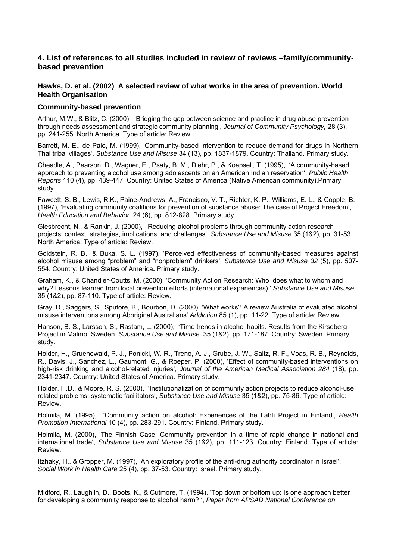# **4. List of references to all studies included in review of reviews –family/communitybased prevention**

# **Hawks, D. et al. (2002) A selected review of what works in the area of prevention. World Health Organisation**

#### **Community-based prevention**

Arthur, M.W., & Blitz, C. (2000), 'Bridging the gap between science and practice in drug abuse prevention through needs assessment and strategic community planning', *Journal of Community Psychology,* 28 (3), pp. 241-255. North America. Type of article: Review.

Barrett, M. E., de Palo, M. (1999), 'Community-based intervention to reduce demand for drugs in Northern Thai tribal villages', *Substance Use and Misuse* 34 (13), pp. 1837-1879. Country: Thailand. Primary study.

Cheadle, A., Pearson, D., Wagner, E., Psaty, B. M., Diehr, P., & Koepsell, T. (1995), 'A community-based approach to preventing alcohol use among adolescents on an American Indian reservation', *Public Health Reports* 110 (4), pp. 439-447. Country: United States of America (Native American community).Primary study.

Fawcett, S. B., Lewis, R.K., Paine-Andrews, A., Francisco, V. T., Richter, K. P., Williams, E. L., & Copple, B. (1997), 'Evaluating community coalitions for prevention of substance abuse: The case of Project Freedom', *Health Education and Behavior,* 24 (6), pp. 812-828. Primary study.

Giesbrecht, N., & Rankin, J. (2000), 'Reducing alcohol problems through community action research projects: context, strategies, implications, and challenges', *Substance Use and Misuse* 35 (1&2), pp. 31-53. North America. Type of article: Review.

Goldstein, R. B., & Buka, S. L. (1997), 'Perceived effectiveness of community-based measures against alcohol misuse among "problem" and "nonproblem" drinkers', *Substance Use and Misuse 32* (5), pp. 507- 554. Country: United States of America**.** Primary study.

Graham, K., & Chandler-Coutts, M. (2000), 'Community Action Research: Who does what to whom and why? Lessons learned from local prevention efforts (international experiences) ',*Substance Use and Misuse*  35 (1&2), pp. 87-110. Type of article: Review.

Gray, D., Saggers, S., Sputore, B., Bourbon, D. (2000), 'What works? A review Australia of evaluated alcohol misuse interventions among Aboriginal Australians' *Addiction* 85 (1), pp. 11-22. Type of article: Review.

Hanson, B. S., Larsson, S., Rastam, L. (2000), 'Time trends in alcohol habits. Results from the Kirseberg Project in Malmo, Sweden. *Substance Use and Misuse* 35 (1&2), pp. 171-187. Country: Sweden. Primary study.

Holder, H., Gruenewald, P. J., Ponicki, W. R., Treno, A. J., Grube, J. W., Saltz, R. F., Voas, R. B., Reynolds, R., Davis, J., Sanchez, L., Gaumont, G., & Roeper, P. (2000), 'Effect of community-based interventions on high-risk drinking and alcohol-related injuries', *Journal of the American Medical Association 284* (18), pp. 2341-2347. Country: United States of America. Primary study.

Holder, H.D., & Moore, R. S. (2000), 'Institutionalization of community action projects to reduce alcohol-use related problems: systematic facilitators', *Substance Use and Misuse* 35 (1&2), pp. 75-86. Type of article: Review.

Holmila, M. (1995), 'Community action on alcohol: Experiences of the Lahti Project in Finland', *Health Promotion International* 10 (4), pp. 283-291. Country: Finland. Primary study.

Holmila, M. (2000), 'The Finnish Case: Community prevention in a time of rapid change in national and international trade', *Substance Use and Misuse* 35 (1&2), pp. 111-123. Country: Finland. Type of article: Review.

Itzhaky, H., & Gropper, M. (1997), 'An exploratory profile of the anti-drug authority coordinator in Israel', *Social Work in Health Care* 25 (4), pp. 37-53. Country: Israel. Primary study.

Midford, R., Laughlin, D., Boots, K., & Cutmore, T. (1994), 'Top down or bottom up: Is one approach better for developing a community response to alcohol harm? ', *Paper from APSAD National Conference on*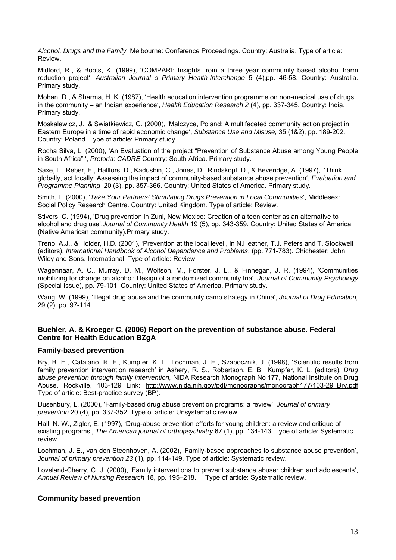*Alcohol, Drugs and the Family.* Melbourne: Conference Proceedings. Country: Australia. Type of article: Review.

Midford, R., & Boots, K. (1999), 'COMPARI: Insights from a three year community based alcohol harm reduction project', *Australian Journal o Primary Health-Interchange* 5 (4),pp. 46-58. Country: Australia. Primary study.

Mohan, D., & Sharma, H. K. (1987), 'Health education intervention programme on non-medical use of drugs in the community – an Indian experience', *Health Education Research 2* (4), pp. 337-345. Country: India. Primary study.

Moskalewicz, J., & Swiatkiewicz, G. (2000), 'Malczyce, Poland: A multifaceted community action project in Eastern Europe in a time of rapid economic change', *Substance Use and Misuse,* 35 (1&2), pp. 189-202. Country: Poland. Type of article: Primary study.

Rocha Silva, L. (2000), 'An Evaluation of the project "Prevention of Substance Abuse among Young People in South Africa" ', *Pretoria: CADRE* Country: South Africa. Primary study.

Saxe, L., Reber, E., Hallfors, D., Kadushin, C., Jones, D., Rindskopf, D., & Beveridge, A. (1997),. 'Think globally, act locally: Assessing the impact of community-based substance abuse prevention', *Evaluation and Programme Planning* 20 (3), pp. 357-366. Country: United States of America. Primary study.

Smith, L. (2000), '*Take Your Partners! Stimulating Drugs Prevention in Local Communities*', Middlesex: Social Policy Research Centre. Country: United Kingdom. Type of article: Review .

Stivers, C. (1994), 'Drug prevention in Zuni, New Mexico: Creation of a teen center as an alternative to alcohol and drug use',*Journal of Community Health* 19 (5), pp. 343-359. Country: United States of America (Native American community).Primary study.

Treno, A.J., & Holder, H.D. (2001), 'Prevention at the local level', in N.Heather, T.J. Peters and T. Stockwell (editors), *International Handbook of Alcohol Dependence and Problems*. (pp. 771-783). Chichester: John Wiley and Sons. International. Type of article: Review.

Wagennaar, A. C., Murray, D. M., Wolfson, M., Forster, J. L., & Finnegan, J. R. (1994), 'Communities mobilizing for change on alcohol: Design of a randomized community tria', *Journal of Community Psychology*  (Special Issue), pp. 79-101. Country: United States of America. Primary study.

Wang, W. (1999), 'Illegal drug abuse and the community camp strategy in China', *Journal of Drug Education,*  29 (2), pp. 97-114.

# **Buehler, A. & Kroeger C. (2006) Report on the prevention of substance abuse. Federal Centre for Health Education BZgA**

### **Family-based prevention**

Bry, B. H., Catalano, R. F., Kumpfer, K. L., Lochman, J. E., Szapocznik, J. (1998), 'Scientific results from family prevention intervention research' in Ashery, R. S., Robertson, E. B., Kumpfer, K. L. (editors), *Drug abuse prevention through family intervention,* NIDA Research Monograph No 177, National Institute on Drug Abuse, Rockville, 103-129 Link: http://www.nida.nih.gov/pdf/monographs/monograph177/103-29 Bry.pdf Type of article: Best-practice survey (BP).

Dusenbury, L. (2000), 'Family-based drug abuse prevention programs: a review', *Journal of primary prevention* 20 (4), pp. 337-352. Type of article: Unsystematic review.

Hall, N. W., Zigler, E. (1997), 'Drug-abuse prevention efforts for young children: a review and critique of existing programs', *The American journal of orthopsychiatry* 67 (1), pp. 134-143. Type of article: Systematic review.

Lochman, J. E., van den Steenhoven, A. (2002), 'Family-based approaches to substance abuse prevention', *Journal of primary prevention 23* (1), pp. 114-149. Type of article: Systematic review.

Loveland-Cherry, C. J. (2000), 'Family interventions to prevent substance abuse: children and adolescents', *Annual Review of Nursing Research* 18, pp. 195–218. Type of article: Systematic review.

### **Community based prevention**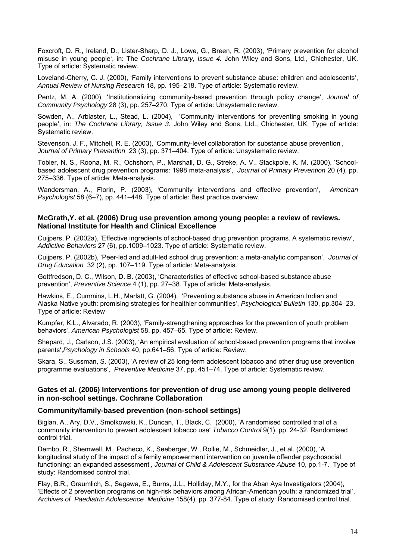Foxcroft, D. R., Ireland, D., Lister-Sharp, D. J., Lowe, G., Breen, R. (2003), 'Primary prevention for alcohol misuse in young people', in: The *Cochrane Library, Issue 4.* John Wiley and Sons, Ltd., Chichester, UK. Type of article: Systematic review.

Loveland-Cherry, C. J. (2000), 'Family interventions to prevent substance abuse: children and adolescents', *Annual Review of Nursing Research* 18, pp. 195–218. Type of article: Systematic review.

Pentz, M. A. (2000), 'Institutionalizing community-based prevention through policy change', *Journal of Community Psychology* 28 (3), pp. 257–270. Type of article: Unsystematic review.

Sowden, A., Arblaster, L., Stead, L. (2004), 'Community interventions for preventing smoking in young people', in: *The Cochrane Library, Issue 3.* John Wiley and Sons, Ltd., Chichester, UK. Type of article: Systematic review.

Stevenson, J. F., Mitchell, R. E. (2003), 'Community-level collaboration for substance abuse prevention', *Journal of Primary Prevention* 23 (3), pp. 371–404. Type of article: Unsystematic review.

Tobler, N. S., Roona, M. R., Ochshorn, P., Marshall, D. G., Streke, A. V., Stackpole, K. M. (2000), 'Schoolbased adolescent drug prevention programs: 1998 meta-analysis', *Journal of Primary Prevention* 20 (4), pp. 275–336. Type of article: Meta-analysis.

Wandersman, A., Florin, P. (2003), 'Community interventions and effective prevention', *American Psychologist* 58 (6–7), pp. 441–448. Type of article: Best practice overview.

# **McGrath,Y. et al. (2006) Drug use prevention among young people: a review of reviews. National Institute for Health and Clinical Excellence**

Cuijpers, P. (2002a), 'Effective ingredients of school-based drug prevention programs. A systematic review', *Addictive Behaviors* 27 (6), pp.1009–1023. Type of article: Systematic review.

Cuijpers, P. (2002b), 'Peer-led and adult-led school drug prevention: a meta-analytic comparison', *Journal of Drug Education* 32 (2), pp. 107–119. Type of article: Meta-analysis.

Gottfredson, D. C., Wilson, D. B. (2003), 'Characteristics of effective school-based substance abuse prevention', *Preventive Science* 4 (1), pp. 27–38. Type of article: Meta-analysis.

Hawkins, E., Cummins, L.H., Marlatt, G. (2004), 'Preventing substance abuse in American Indian and Alaska Native youth: promising strategies for healthier communities', *Psychological Bulletin* 130, pp.304–23. Type of article: Review

Kumpfer, K.L., Alvarado, R. (2003), 'Family-strengthening approaches for the prevention of youth problem behaviors', *American Psychologist* 58, pp. 457–65. Type of article: Review.

Shepard, J., Carlson, J.S. (2003), 'An empirical evaluation of school-based prevention programs that involve parents',*Psychology in Schools* 40, pp.641–56. Type of article: Review.

Skara, S., Sussman, S. (2003), 'A review of 25 long-term adolescent tobacco and other drug use prevention programme evaluations', *Preventive Medicine* 37, pp. 451–74. Type of article: Systematic review.

### **Gates et al. (2006) Interventions for prevention of drug use among young people delivered in non-school settings. Cochrane Collaboration**

### **Community/family-based prevention (non-school settings)**

Biglan, A., Ary, D.V., Smolkowski, K., Duncan, T., Black, C. (2000), 'A randomised controlled trial of a community intervention to prevent adolescent tobacco use' *Tobacco Control* 9(1), pp. 24-32. Randomised control trial.

Dembo, R., Shemwell, M., Pacheco, K., Seeberger, W., Rollie, M., Schmeidler, J., et al. (2000), 'A longitudinal study of the impact of a family empowerment intervention on juvenile offender psychosocial functioning: an expanded assessment', *Journal of Child & Adolescent Substance Abuse* 10, pp.1-7. Type of study: Randomised control trial.

Flay, B.R., Graumlich, S., Segawa, E., Burns, J.L., Holliday, M.Y., for the Aban Aya Investigators (2004), 'Effects of 2 prevention programs on high-risk behaviors among African-American youth: a randomized trial', *Archives of Paediatric Adolescence Medicine* 158(4), pp. 377-84. Type of study: Randomised control trial.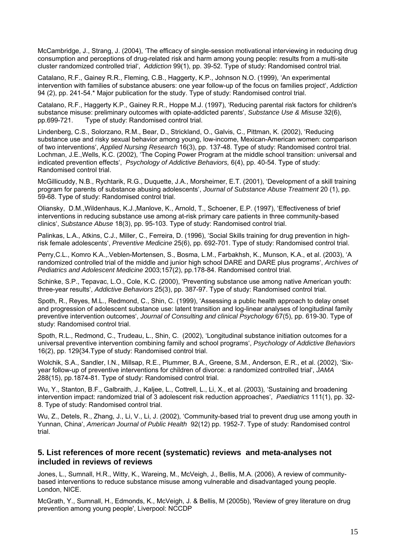McCambridge, J., Strang, J. (2004), 'The efficacy of single-session motivational interviewing in reducing drug consumption and perceptions of drug-related risk and harm among young people: results from a multi-site cluster randomized controlled trial', *Addiction* 99(1), pp. 39-52. Type of study: Randomised control trial.

Catalano, R.F., Gainey R.R., Fleming, C.B., Haggerty, K.P., Johnson N.O. (1999), 'An experimental intervention with families of substance abusers: one year follow-up of the focus on families project', *Addiction*  94 (2), pp. 241-54.\* Major publication for the study. Type of study: Randomised control trial.

Catalano, R.F., Haggerty K.P., Gainey R.R., Hoppe M.J. (1997), 'Reducing parental risk factors for children's substance misuse: preliminary outcomes with opiate-addicted parents', *Substance Use & Misuse* 32(6), pp.699-721. Type of study: Randomised control trial.

Lindenberg, C.S., Solorzano, R.M., Bear, D., Strickland, O., Galvis, C., Pittman, K. (2002), 'Reducing substance use and risky sexual behavior among young, low-income, Mexican-American women: comparison of two interventions', *Applied Nursing Research* 16(3), pp. 137-48. Type of study: Randomised control trial. Lochman, J.E.,Wells, K.C. (2002), 'The Coping Power Program at the middle school transition: universal and indicated prevention effects', *Psychology of Addictive Behaviors,* 6(4), pp. 40-54. Type of study: Randomised control trial .

McGillicuddy, N.B., Rychtarik, R.G., Duquette, J.A., Morsheimer, E.T. (2001), 'Development of a skill training program for parents of substance abusing adolescents', *Journal of Substance Abuse Treatment* 20 (1), pp. 59-68. Type of study: Randomised control trial.

Oliansky, D.M.,Wildenhaus, K.J.,Manlove, K., Arnold, T., Schoener, E.P. (1997), 'Effectiveness of brief interventions in reducing substance use among at-risk primary care patients in three community-based clinics', *Substance Abuse* 18(3), pp. 95-103. Type of study: Randomised control trial.

Palinkas, L.A., Atkins, C.J., Miller, C., Ferreira, D. (1996), 'Social Skills training for drug prevention in highrisk female adolescents', *Preventive Medicine* 25(6), pp. 692-701. Type of study: Randomised control trial.

Perry,C.L., Komro K.A.,.Veblen-Mortensen, S., Bosma, L.M., Farbakhsh, K., Munson, K.A., et al. (2003), 'A randomized controlled trial of the middle and junior high school DARE and DARE plus programs', *Archives of Pediatrics and Adolescent Medicine* 2003;157(2), pp.178-84. Randomised control trial.

Schinke, S.P., Tepavac, L.O., Cole, K.C. (2000), 'Preventing substance use among native American youth: three-year results', *Addictive Behaviors* 25(3), pp. 387-97. Type of study: Randomised control trial.

Spoth, R., Reyes, M.L., Redmond, C., Shin, C. (1999), 'Assessing a public health approach to delay onset and progression of adolescent substance use: latent transition and log-linear analyses of longitudinal family preventive intervention outcomes', *Journal of Consulting and clinical Psychology* 67(5), pp. 619-30. Type of study: Randomised control trial.

Spoth, R.L., Redmond, C., Trudeau, L., Shin, C. (2002), 'Longitudinal substance initiation outcomes for a universal preventive intervention combining family and school programs', *Psychology of Addictive Behaviors*  16(2), pp. 129{34.Type of study: Randomised control trial.

Wolchik, S.A., Sandler, I.N., Millsap, R.E., Plummer, B.A., Greene, S.M., Anderson, E.R., et al. (2002), 'Sixyear follow-up of preventive interventions for children of divorce: a randomized controlled trial', *JAMA* 288(15), pp.1874-81. Type of study: Randomised control trial.

Wu, Y., Stanton, B.F., Galbraith, J., Kaljee, L., Cottrell, L., Li, X., et al. (2003), 'Sustaining and broadening intervention impact: randomized trial of 3 adolescent risk reduction approaches', *Paediatrics* 111(1), pp. 32- 8. Type of study: Randomised control trial.

Wu, Z., Detels, R., Zhang, J., Li, V., Li, J. (2002), 'Community-based trial to prevent drug use among youth in Yunnan, China', *American Journal of Public Health* 92(12) pp. 1952-7. Type of study: Randomised control trial.

# **5. List references of more recent (systematic) reviews and meta-analyses not included in reviews of reviews**

Jones, L., Sumnall, H.R., Witty, K., Wareing, M., McVeigh, J., Bellis, M.A. (2006), A review of communitybased interventions to reduce substance misuse among vulnerable and disadvantaged young people. London, NICE.

McGrath, Y., Sumnall, H., Edmonds, K., McVeigh, J. & Bellis, M (2005b), 'Review of grey literature on drug prevention among young people', Liverpool: NCCDP